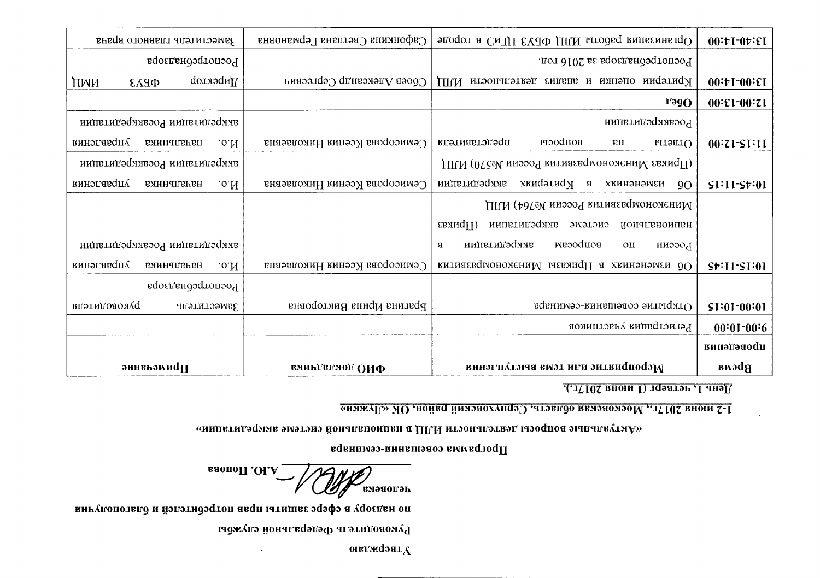| Заместитель главного врача               | Сафонкина Светлана Германовна | Эдорганизация работы ИЛЦ ФБУЗ ЦГиЭ в городе              | 00:10:00:1                |
|------------------------------------------|-------------------------------|----------------------------------------------------------|---------------------------|
| Роспотребнадзора                         |                               | Роспотребнадзора за 2016 год.                            |                           |
| Имбектор<br><b>QPA3</b><br>ПИИ           | Сбоев Александр Сергеевич     | Критерии оценки и анализ деятельности<br>ПІГИ            | 00:1:00:1                 |
|                                          |                               | $V = 90$                                                 | $00:$ $E1-00:71$          |
| аккредитации Росаккредитации             |                               | Росаккредитации                                          |                           |
| управления<br>начальника<br>.0.11        | Семисорова Ксения Николаевна  | воцросет<br>представителя<br>BН<br>OTBeTLI               | $00:ZI-SI:II$             |
| аккредитации Росаккредитации             |                               | ШМ (ОГ сом назведения России Ме570) ИЛП.                 |                           |
| <b>управления</b><br>нячальника<br>.0.11 | Семисорова Ксения Николаевна  | аккредитации<br>изменениях в критериях<br>9O             | $SI:II-St:0I$             |
|                                          |                               | Иинэкономбязвилия россии издеф ИЛП                       |                           |
|                                          |                               | $(11)$ иказ<br>системе аккредитации<br>иончивноипен      |                           |
| аккредитации Росаккредитации             |                               | аккредитации<br>воцросям<br>$\mathbf{B}$<br>OЦ<br>низоод |                           |
| управления<br>.0.11<br><b>ВЯИНЧИЗИВН</b> | Семисорова Ксения Николаевна  | ОО изменениях в Приказы Минэмономразвития                | $S+11-S1:01$              |
| Роспотребнадзора                         |                               |                                                          |                           |
| <b>вполицовожуq</b><br>Заместитель       | Брагина Ирина Викторовна      | Открытие совещания-семинара                              | $ST:0I-00:0I$             |
|                                          |                               | Регистрация участников                                   | $00:01-00:6$              |
|                                          |                               |                                                          | кинэгэноди                |
| эинеьэмиdи                               | еминдепмод ОИФ                | Мероприятие или тема выступления                         | <b>BM</b> aq <sub>d</sub> |

День 1, четверг (1 июня 2017г.).

 $\Delta$ 

<u> 1-2 июня 2017., Московская область, Серпуховский район, ОК «Лужки»</u>

«мипетицэqимв эмэтэнэ йонапенонивн а ДЛМ нтэльной системе аккредителини»

программа совещанинара екинара

RAND CORRECTED IN INCORPORATION

вигулопотяло и йэлэтидэдтоп авдп ыткишае эдэфэ а удосдан оп

 $\star$ 

Руководитель Федеральной службы

онаджаэат $\chi$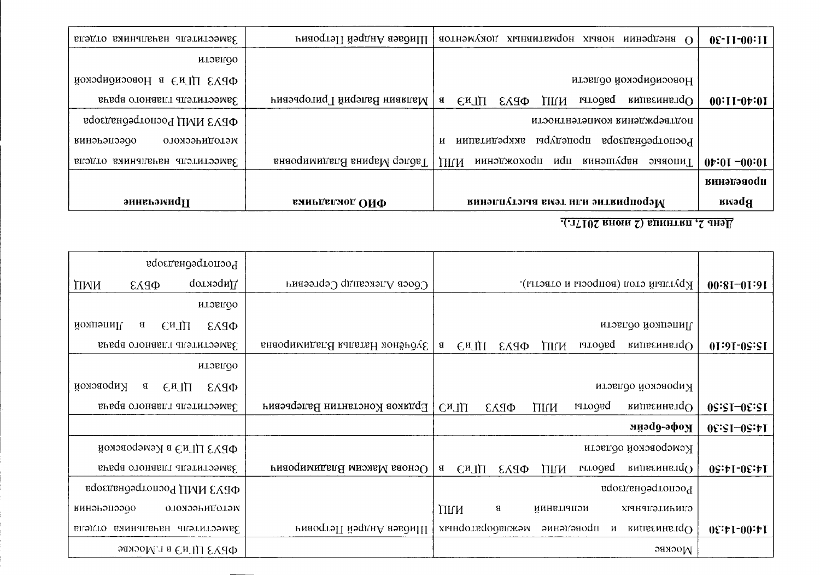| Заместитель начальника отдела                                                                                                                                                                                                                                                                                                                           |                                  | P внедрении новрих нормаливаних документов   Шибаев Андрей Петрович                 | 0£-11-00:11                |  |  |
|---------------------------------------------------------------------------------------------------------------------------------------------------------------------------------------------------------------------------------------------------------------------------------------------------------------------------------------------------------|----------------------------------|-------------------------------------------------------------------------------------|----------------------------|--|--|
| итолно                                                                                                                                                                                                                                                                                                                                                  |                                  |                                                                                     |                            |  |  |
| ФРАЗ ПІ и в Новосирирской                                                                                                                                                                                                                                                                                                                               |                                  | новосиоирской области                                                               |                            |  |  |
| Заместитель главного врача                                                                                                                                                                                                                                                                                                                              | в   Малявин Валерий I ригорьевич | pagolei<br><b>видляенны</b> $\mathbf{Q}$<br><b>СиЛЛ</b><br>$\Phi$ <i>PA3</i><br>ПИИ | $00:11-01:01$              |  |  |
| ФРАЗ НИП Роспотребнадзора                                                                                                                                                                                                                                                                                                                               |                                  | поддерждения компетентности                                                         |                            |  |  |
| отодического<br>винэьэцээдо                                                                                                                                                                                                                                                                                                                             |                                  | госпотребнадзора процедуры<br>аккредитации<br>И                                     |                            |  |  |
| Заместитель начальника отдела                                                                                                                                                                                                                                                                                                                           | Таблер Марина Владимировна       | иин <b>э</b> ї/жохоdu иdu<br>кинэшүрын<br>1 иповріє<br>ПІГИ                         | $0 \cdot 01 - 00 \cdot 01$ |  |  |
|                                                                                                                                                                                                                                                                                                                                                         |                                  |                                                                                     | винэгэнооди                |  |  |
| эннеьэмиdи                                                                                                                                                                                                                                                                                                                                              | вяньтегног ОИФ                   | Мероприятие или тема выступления                                                    | Bhewa                      |  |  |
| $\overline{M}$ , $\overline{M}$ , $\overline{M}$ , $\overline{M}$ , $\overline{M}$ , $\overline{M}$ , $\overline{M}$ , $\overline{M}$ , $\overline{M}$ , $\overline{M}$ , $\overline{M}$ , $\overline{M}$ , $\overline{M}$ , $\overline{M}$ , $\overline{M}$ , $\overline{M}$ , $\overline{M}$ , $\overline{M}$ , $\overline{M}$ , $\overline{M}$ , $\$ |                                  |                                                                                     |                            |  |  |

| Роспотребнадзора                           |                               |                                                                                       |                                                                                                                                                                                                                                                                                                                                 |
|--------------------------------------------|-------------------------------|---------------------------------------------------------------------------------------|---------------------------------------------------------------------------------------------------------------------------------------------------------------------------------------------------------------------------------------------------------------------------------------------------------------------------------|
| $\mu$ ылобитор<br>ПМИ<br>$\Phi$ <i>PA3</i> | $Co$ оев Александр Сергеевич  | Круглый стол (вопросы и ответы).                                                      | $00:8I - 01:9I$                                                                                                                                                                                                                                                                                                                 |
| итолио                                     |                               |                                                                                       |                                                                                                                                                                                                                                                                                                                                 |
| Липецкой<br>В<br><b>СмЛ</b><br>$\Phi$ PA3  |                               | Липецкой области                                                                      |                                                                                                                                                                                                                                                                                                                                 |
| Заместитель главного врача                 | Зубчёнок Наталья Владимировна | <b>pago</b> TPI<br>$M$ иявенны д $O$<br>В.<br><b>CHTH</b><br>$\Phi$ <i>PA3</i><br>ПИИ | 01:91-09:51                                                                                                                                                                                                                                                                                                                     |
| мтэвлдо                                    |                               |                                                                                       |                                                                                                                                                                                                                                                                                                                                 |
| иовской<br>8<br>СиЛП<br>QPA3               |                               | ктровской области                                                                     |                                                                                                                                                                                                                                                                                                                                 |
| Заместитель главного врача                 | Ердяков Константин Валерьевич | вишаєнна по∪<br>СиЛП<br>pagolen<br>ПИИ<br>$\Phi$ <i>PA3</i>                           | $0$ S:SI- $0$ E:SI                                                                                                                                                                                                                                                                                                              |
|                                            |                               | яцэd9-эфоу                                                                            | $0E:SI=0S:FL$                                                                                                                                                                                                                                                                                                                   |
| ФРАЗ ПГиЭ в Кемеровской                    |                               | Кемеровской области                                                                   |                                                                                                                                                                                                                                                                                                                                 |
| Заместитель главного врача                 | Основа Максим Владимирович    | $\mathbf{B}$<br>СиЛП<br>pagorn<br>випвенныдО<br>QPA3<br>ПИИ                           | $0$ $S$ : $b$ I- $0$ $E$ : $b$ I                                                                                                                                                                                                                                                                                                |
| ФРАЗ НИП Роспотребнадзора                  |                               | Роспотребнадзора                                                                      |                                                                                                                                                                                                                                                                                                                                 |
| отодического<br>кинэнэпээдо                |                               | ПИИ<br>8<br>цепривниц<br><b>СЛИЧИТЕЛЬНЫХ</b>                                          |                                                                                                                                                                                                                                                                                                                                 |
| Заместитель начальника отдела              | Рияоса Андрей Петрович        | хіанфотворатжэм<br>аинәмәаодп<br>$O$ рганизация<br>H                                  | $0 \in \mathbb{R}$ : $\mathbb{R}$ $\mathbb{R}$ $\mathbb{R}$ $\mathbb{R}$ $\mathbb{R}$ $\mathbb{R}$ $\mathbb{R}$ $\mathbb{R}$ $\mathbb{R}$ $\mathbb{R}$ $\mathbb{R}$ $\mathbb{R}$ $\mathbb{R}$ $\mathbb{R}$ $\mathbb{R}$ $\mathbb{R}$ $\mathbb{R}$ $\mathbb{R}$ $\mathbb{R}$ $\mathbb{R}$ $\mathbb{R}$ $\mathbb{R}$ $\mathbb{R}$ |
| ФРАЗ ЦГиЭ в г. Москве                      |                               | эахэод                                                                                |                                                                                                                                                                                                                                                                                                                                 |

День 2, пятница (2 июня 2017г.).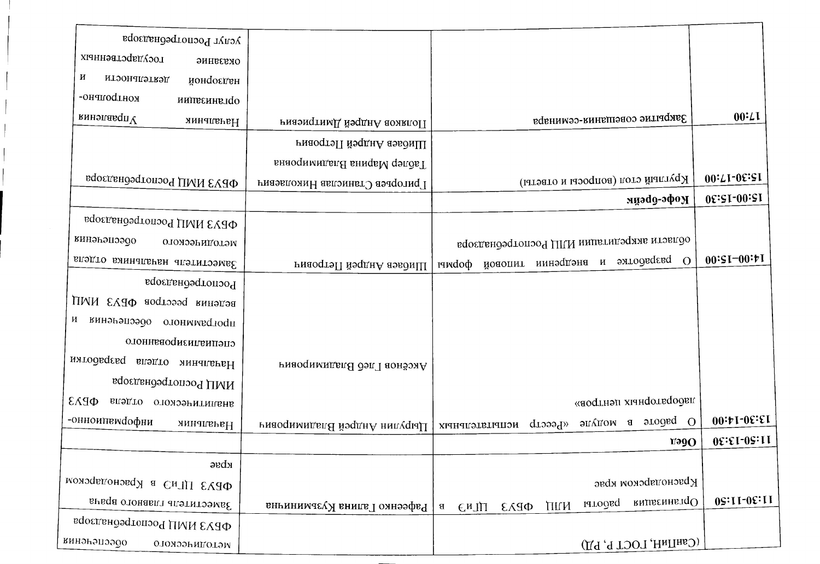| услуг Роспотребнадзора                     |                                |                                                                                   |                                 |
|--------------------------------------------|--------------------------------|-----------------------------------------------------------------------------------|---------------------------------|
| государственных<br>оказание                |                                |                                                                                   |                                 |
| И<br>итоонапэткэд<br>йонфоєден             |                                |                                                                                   |                                 |
| кондрольно-<br>милаенна по                 |                                |                                                                                   |                                 |
| кинэлавдп $V$<br>Начальник                 | Риязмер Андрей Дмитриевич      | Закрытие совещания-семинара                                                       | $00 \cdot L1$                   |
|                                            | PH баев Андрей Петрович        |                                                                                   |                                 |
|                                            | Таблер Марина Владимировна     |                                                                                   |                                 |
| ФРАЗ ИМЦ Роспотребнадзора                  | Григорьев Станислав Николаевич | Круглый стол (вопросы и ответы)                                                   | 00:71-05:21                     |
|                                            |                                | кофс-эфон                                                                         | 09:51-00:51                     |
| ФРАЗ ИМЦ Роспотребнадзора                  |                                |                                                                                   |                                 |
| винэьэцээдо<br>отомического                |                                | области аккредитации ИЛЦ Роспотребнадзора                                         |                                 |
| Заместитель начальника отдела              | ниаость Андрей Петровиц        | разработке и внедрении типовой формы<br>$\Omega$                                  | $00:51-00:71$                   |
| Роспотребнадзора                           |                                |                                                                                   |                                 |
| ведения реестров ФБУЗ ИМЦ                  |                                |                                                                                   |                                 |
| программного обеспечения и                 |                                |                                                                                   |                                 |
| отонная диамованного                       |                                |                                                                                   |                                 |
| Начальник отдела разработки                | Аксёнов Глеб Владимирович      |                                                                                   |                                 |
| ИМЦ Роспотребнадзора                       |                                |                                                                                   |                                 |
| $\Phi$ <i>PA3</i><br>аналитического отдела |                                | лабораторных центров»                                                             |                                 |
| -онноиптемфофни<br>Начальник               | Риводимидей Владимирович       | энддом в этодье О<br>«Ресстр испытательных                                        | 00:1:00:1                       |
|                                            |                                | $V = 90$                                                                          | 08:81-09:11                     |
| $\alpha$ ы                                 |                                |                                                                                   |                                 |
| ФЕУЗ ЦГиЭ в Краснодарском                  |                                | Краснодарском крае                                                                |                                 |
| Заместитель главного врача                 | Рафеенко Галина Кузьминина     | <b>внивеннытаО</b><br>ряродет<br>ПИИ<br>$\Phi$ <i>PA3</i><br>EMJII<br>$\mathbf B$ | $0$ $S$ : $11$ - $0$ $E$ : $11$ |
| ФРАЗ НИП Роспотребнадзора                  |                                |                                                                                   |                                 |
| инэнэпээдо<br>оломээниголэм                |                                | (СанПиН, ГОСТ Р, РД)                                                              |                                 |